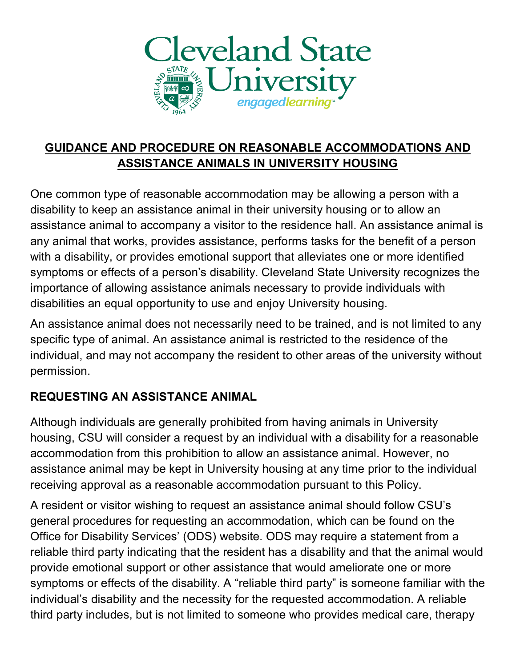

#### **GUIDANCE AND PROCEDURE ON REASONABLE ACCOMMODATIONS AND ASSISTANCE ANIMALS IN UNIVERSITY HOUSING**

One common type of reasonable accommodation may be allowing a person with a disability to keep an assistance animal in their university housing or to allow an assistance animal to accompany a visitor to the residence hall. An assistance animal is any animal that works, provides assistance, performs tasks for the benefit of a person with a disability, or provides emotional support that alleviates one or more identified symptoms or effects of a person's disability. Cleveland State University recognizes the importance of allowing assistance animals necessary to provide individuals with disabilities an equal opportunity to use and enjoy University housing.

An assistance animal does not necessarily need to be trained, and is not limited to any specific type of animal. An assistance animal is restricted to the residence of the individual, and may not accompany the resident to other areas of the university without permission.

#### **REQUESTING AN ASSISTANCE ANIMAL**

Although individuals are generally prohibited from having animals in University housing, CSU will consider a request by an individual with a disability for a reasonable accommodation from this prohibition to allow an assistance animal. However, no assistance animal may be kept in University housing at any time prior to the individual receiving approval as a reasonable accommodation pursuant to this Policy.

A resident or visitor wishing to request an assistance animal should follow CSU's general procedures for requesting an accommodation, which can be found on the Office for Disability Services' (ODS) website. ODS may require a statement from a reliable third party indicating that the resident has a disability and that the animal would provide emotional support or other assistance that would ameliorate one or more symptoms or effects of the disability. A "reliable third party" is someone familiar with the individual's disability and the necessity for the requested accommodation. A reliable third party includes, but is not limited to someone who provides medical care, therapy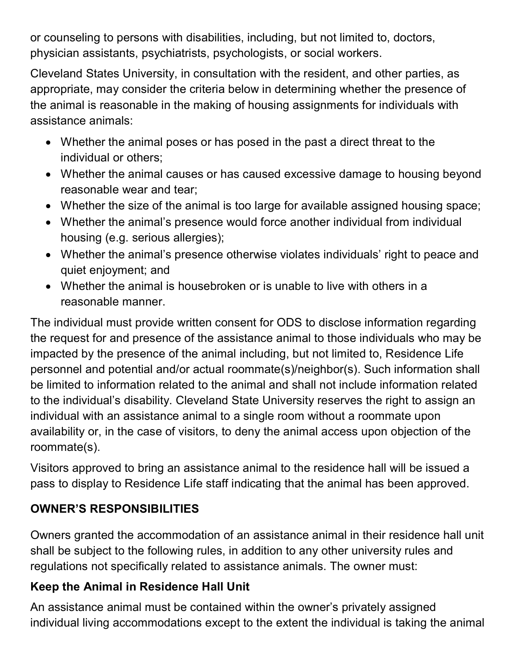or counseling to persons with disabilities, including, but not limited to, doctors, physician assistants, psychiatrists, psychologists, or social workers.

Cleveland States University, in consultation with the resident, and other parties, as appropriate, may consider the criteria below in determining whether the presence of the animal is reasonable in the making of housing assignments for individuals with assistance animals:

- Whether the animal poses or has posed in the past a direct threat to the individual or others;
- Whether the animal causes or has caused excessive damage to housing beyond reasonable wear and tear;
- Whether the size of the animal is too large for available assigned housing space;
- Whether the animal's presence would force another individual from individual housing (e.g. serious allergies);
- Whether the animal's presence otherwise violates individuals' right to peace and quiet enjoyment; and
- Whether the animal is housebroken or is unable to live with others in a reasonable manner.

The individual must provide written consent for ODS to disclose information regarding the request for and presence of the assistance animal to those individuals who may be impacted by the presence of the animal including, but not limited to, Residence Life personnel and potential and/or actual roommate(s)/neighbor(s). Such information shall be limited to information related to the animal and shall not include information related to the individual's disability. Cleveland State University reserves the right to assign an individual with an assistance animal to a single room without a roommate upon availability or, in the case of visitors, to deny the animal access upon objection of the roommate(s).

Visitors approved to bring an assistance animal to the residence hall will be issued a pass to display to Residence Life staff indicating that the animal has been approved.

## **OWNER'S RESPONSIBILITIES**

Owners granted the accommodation of an assistance animal in their residence hall unit shall be subject to the following rules, in addition to any other university rules and regulations not specifically related to assistance animals. The owner must:

## **Keep the Animal in Residence Hall Unit**

An assistance animal must be contained within the owner's privately assigned individual living accommodations except to the extent the individual is taking the animal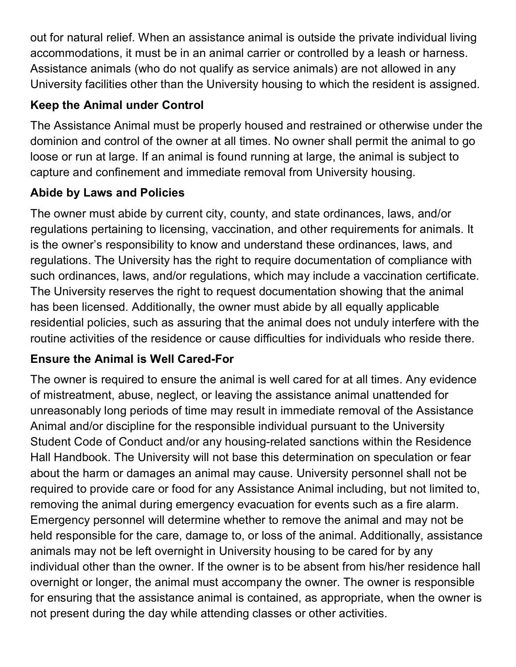out for natural relief. When an assistance animal is outside the private individual living accommodations, it must be in an animal carrier or controlled by a leash or harness. Assistance animals (who do not qualify as service animals) are not allowed in any University facilities other than the University housing to which the resident is assigned.

## **Keep the Animal under Control**

The Assistance Animal must be properly housed and restrained or otherwise under the dominion and control of the owner at all times. No owner shall permit the animal to go loose or run at large. If an animal is found running at large, the animal is subject to capture and confinement and immediate removal from University housing.

# **Abide by Laws and Policies**

The owner must abide by current city, county, and state ordinances, laws, and/or regulations pertaining to licensing, vaccination, and other requirements for animals. It is the owner's responsibility to know and understand these ordinances, laws, and regulations. The University has the right to require documentation of compliance with such ordinances, laws, and/or regulations, which may include a vaccination certificate. The University reserves the right to request documentation showing that the animal has been licensed. Additionally, the owner must abide by all equally applicable residential policies, such as assuring that the animal does not unduly interfere with the routine activities of the residence or cause difficulties for individuals who reside there.

# **Ensure the Animal is Well Cared-For**

The owner is required to ensure the animal is well cared for at all times. Any evidence of mistreatment, abuse, neglect, or leaving the assistance animal unattended for unreasonably long periods of time may result in immediate removal of the Assistance Animal and/or discipline for the responsible individual pursuant to the University Student Code of Conduct and/or any housing-related sanctions within the Residence Hall Handbook. The University will not base this determination on speculation or fear about the harm or damages an animal may cause. University personnel shall not be required to provide care or food for any Assistance Animal including, but not limited to, removing the animal during emergency evacuation for events such as a fire alarm. Emergency personnel will determine whether to remove the animal and may not be held responsible for the care, damage to, or loss of the animal. Additionally, assistance animals may not be left overnight in University housing to be cared for by any individual other than the owner. If the owner is to be absent from his/her residence hall overnight or longer, the animal must accompany the owner. The owner is responsible for ensuring that the assistance animal is contained, as appropriate, when the owner is not present during the day while attending classes or other activities.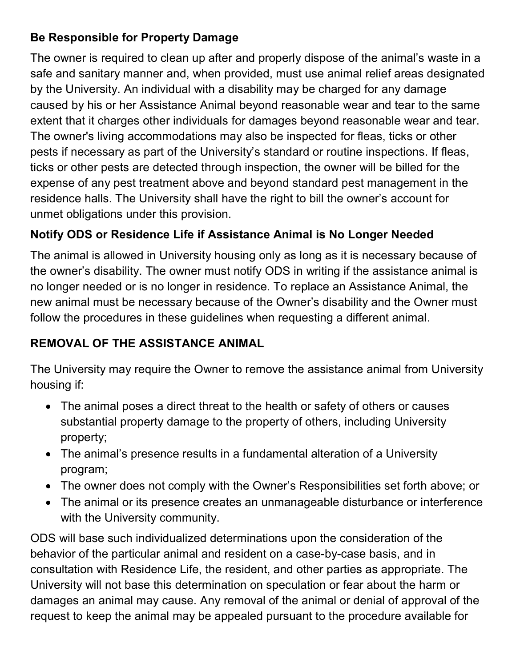## **Be Responsible for Property Damage**

The owner is required to clean up after and properly dispose of the animal's waste in a safe and sanitary manner and, when provided, must use animal relief areas designated by the University. An individual with a disability may be charged for any damage caused by his or her Assistance Animal beyond reasonable wear and tear to the same extent that it charges other individuals for damages beyond reasonable wear and tear. The owner's living accommodations may also be inspected for fleas, ticks or other pests if necessary as part of the University's standard or routine inspections. If fleas, ticks or other pests are detected through inspection, the owner will be billed for the expense of any pest treatment above and beyond standard pest management in the residence halls. The University shall have the right to bill the owner's account for unmet obligations under this provision.

## **Notify ODS or Residence Life if Assistance Animal is No Longer Needed**

The animal is allowed in University housing only as long as it is necessary because of the owner's disability. The owner must notify ODS in writing if the assistance animal is no longer needed or is no longer in residence. To replace an Assistance Animal, the new animal must be necessary because of the Owner's disability and the Owner must follow the procedures in these guidelines when requesting a different animal.

## **REMOVAL OF THE ASSISTANCE ANIMAL**

The University may require the Owner to remove the assistance animal from University housing if:

- The animal poses a direct threat to the health or safety of others or causes substantial property damage to the property of others, including University property;
- The animal's presence results in a fundamental alteration of a University program;
- The owner does not comply with the Owner's Responsibilities set forth above; or
- The animal or its presence creates an unmanageable disturbance or interference with the University community.

ODS will base such individualized determinations upon the consideration of the behavior of the particular animal and resident on a case-by-case basis, and in consultation with Residence Life, the resident, and other parties as appropriate. The University will not base this determination on speculation or fear about the harm or damages an animal may cause. Any removal of the animal or denial of approval of the request to keep the animal may be appealed pursuant to the procedure available for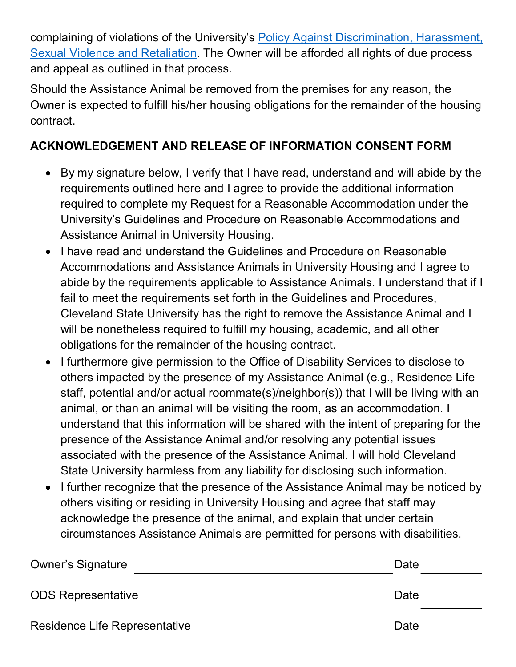complaining of violations of the University's [Policy Against Discrimination, Harassment,](https://www.csuohio.edu/sites/default/files/OIE.Procedures.FINAL_.1-19-16_1.pdf)  [Sexual Violence and Retaliation.](https://www.csuohio.edu/sites/default/files/OIE.Procedures.FINAL_.1-19-16_1.pdf) The Owner will be afforded all rights of due process and appeal as outlined in that process.

Should the Assistance Animal be removed from the premises for any reason, the Owner is expected to fulfill his/her housing obligations for the remainder of the housing contract.

#### **ACKNOWLEDGEMENT AND RELEASE OF INFORMATION CONSENT FORM**

- By my signature below, I verify that I have read, understand and will abide by the requirements outlined here and I agree to provide the additional information required to complete my Request for a Reasonable Accommodation under the University's Guidelines and Procedure on Reasonable Accommodations and Assistance Animal in University Housing.
- I have read and understand the Guidelines and Procedure on Reasonable Accommodations and Assistance Animals in University Housing and I agree to abide by the requirements applicable to Assistance Animals. I understand that if I fail to meet the requirements set forth in the Guidelines and Procedures, Cleveland State University has the right to remove the Assistance Animal and I will be nonetheless required to fulfill my housing, academic, and all other obligations for the remainder of the housing contract.
- I furthermore give permission to the Office of Disability Services to disclose to others impacted by the presence of my Assistance Animal (e.g., Residence Life staff, potential and/or actual roommate(s)/neighbor(s)) that I will be living with an animal, or than an animal will be visiting the room, as an accommodation. I understand that this information will be shared with the intent of preparing for the presence of the Assistance Animal and/or resolving any potential issues associated with the presence of the Assistance Animal. I will hold Cleveland State University harmless from any liability for disclosing such information.
- I further recognize that the presence of the Assistance Animal may be noticed by others visiting or residing in University Housing and agree that staff may acknowledge the presence of the animal, and explain that under certain circumstances Assistance Animals are permitted for persons with disabilities.

| <b>Owner's Signature</b>      | Date |
|-------------------------------|------|
| <b>ODS Representative</b>     | Date |
| Residence Life Representative | Date |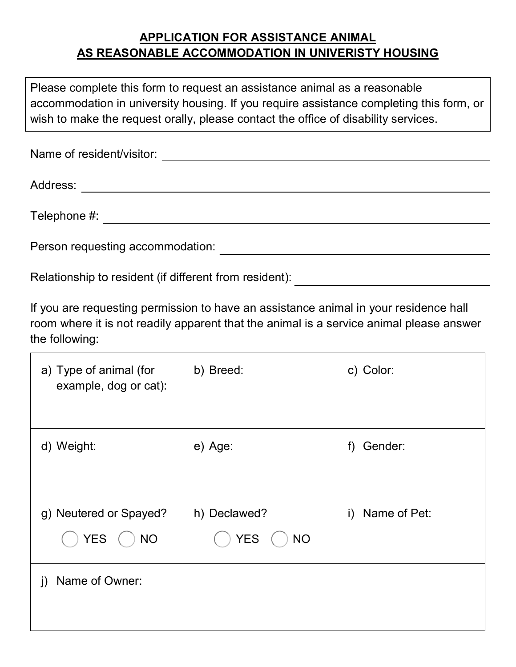#### **APPLICATION FOR ASSISTANCE ANIMAL AS REASONABLE ACCOMMODATION IN UNIVERISTY HOUSING**

 Please complete this form to request an assistance animal as a reasonable accommodation in university housing. If you require assistance completing this form, or wish to make the request orally, please contact the office of disability services.

| Name of resident/visitor:        |
|----------------------------------|
| Address:                         |
| Telephone #:                     |
| Person requesting accommodation: |

Relationship to resident (if different from resident):

 room where it is not readily apparent that the animal is a service animal please answer If you are requesting permission to have an assistance animal in your residence hall the following:

| a) Type of animal (for<br>example, dog or cat):   | b) Breed:                               | c) Color:          |
|---------------------------------------------------|-----------------------------------------|--------------------|
| d) Weight:                                        | e) Age:                                 | Gender:<br>f)      |
| g) Neutered or Spayed?<br><b>YES</b><br><b>NO</b> | h) Declawed?<br><b>YES</b><br><b>NO</b> | Name of Pet:<br>i) |
| Name of Owner:<br>j)                              |                                         |                    |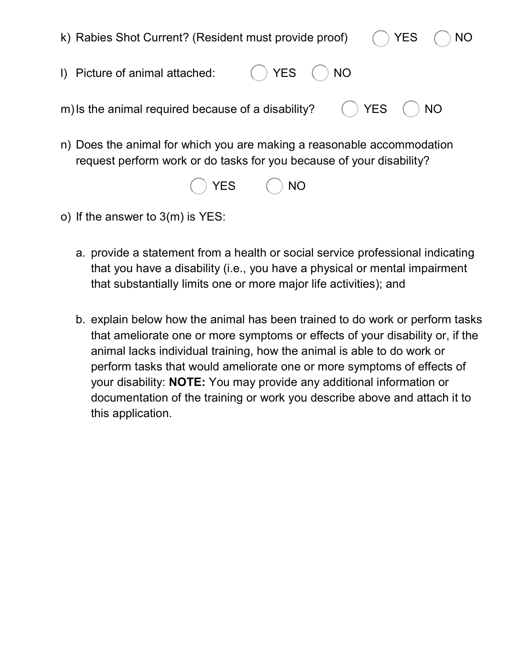

| YES | <b>NO</b> |
|-----|-----------|
|-----|-----------|

- o) If the answer to 3(m) is YES:
	- a. provide a statement from a health or social service professional indicating that you have a disability (i.e., you have a physical or mental impairment that substantially limits one or more major life activities); and
	- b. explain below how the animal has been trained to do work or perform tasks that ameliorate one or more symptoms or effects of your disability or, if the animal lacks individual training, how the animal is able to do work or perform tasks that would ameliorate one or more symptoms of effects of your disability: **NOTE:** You may provide any additional information or documentation of the training or work you describe above and attach it to this application.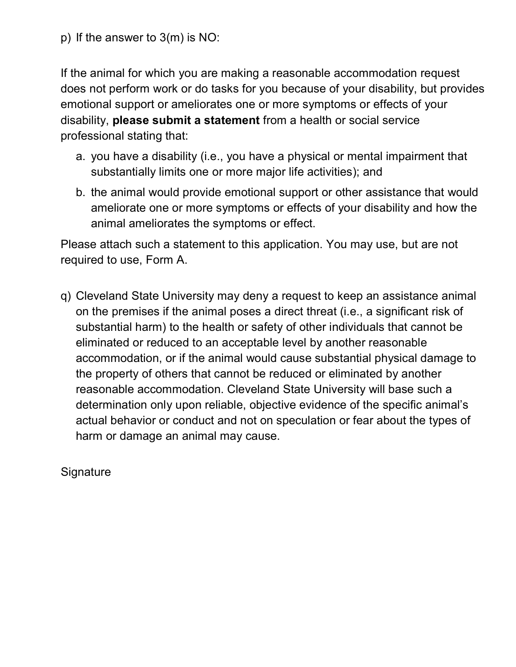p) If the answer to 3(m) is NO:

If the animal for which you are making a reasonable accommodation request does not perform work or do tasks for you because of your disability, but provides emotional support or ameliorates one or more symptoms or effects of your disability, **please submit a statement** from a health or social service professional stating that:

- a. you have a disability (i.e., you have a physical or mental impairment that substantially limits one or more major life activities); and
- b. the animal would provide emotional support or other assistance that would ameliorate one or more symptoms or effects of your disability and how the animal ameliorates the symptoms or effect.

Please attach such a statement to this application. You may use, but are not required to use, Form A.

q) Cleveland State University may deny a request to keep an assistance animal on the premises if the animal poses a direct threat (i.e., a significant risk of substantial harm) to the health or safety of other individuals that cannot be eliminated or reduced to an acceptable level by another reasonable accommodation, or if the animal would cause substantial physical damage to the property of others that cannot be reduced or eliminated by another reasonable accommodation. Cleveland State University will base such a determination only upon reliable, objective evidence of the specific animal's actual behavior or conduct and not on speculation or fear about the types of harm or damage an animal may cause.

**Signature**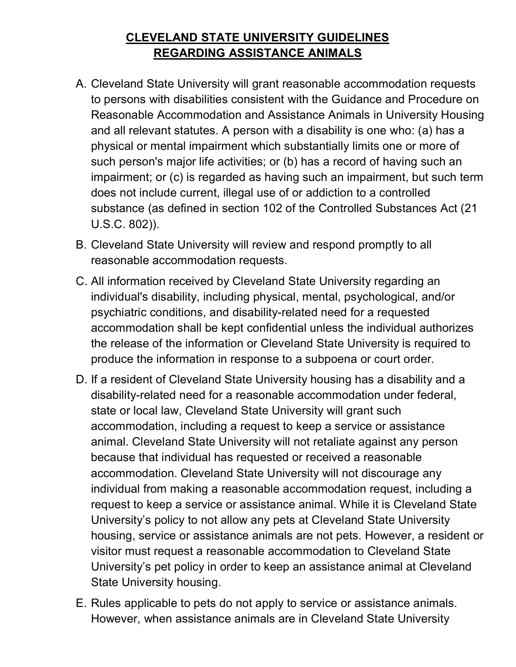#### **CLEVELAND STATE UNIVERSITY GUIDELINES REGARDING ASSISTANCE ANIMALS**

- A. Cleveland State University will grant reasonable accommodation requests to persons with disabilities consistent with the Guidance and Procedure on Reasonable Accommodation and Assistance Animals in University Housing and all relevant statutes. A person with a disability is one who: (a) has a physical or mental impairment which substantially limits one or more of such person's major life activities; or (b) has a record of having such an impairment; or (c) is regarded as having such an impairment, but such term does not include current, illegal use of or addiction to a controlled substance (as defined in section 102 of the Controlled Substances Act (21 U.S.C. 802)).
- B. Cleveland State University will review and respond promptly to all reasonable accommodation requests.
- C. All information received by Cleveland State University regarding an individual's disability, including physical, mental, psychological, and/or psychiatric conditions, and disability-related need for a requested accommodation shall be kept confidential unless the individual authorizes the release of the information or Cleveland State University is required to produce the information in response to a subpoena or court order.
- D. If a resident of Cleveland State University housing has a disability and a disability-related need for a reasonable accommodation under federal, state or local law, Cleveland State University will grant such accommodation, including a request to keep a service or assistance animal. Cleveland State University will not retaliate against any person because that individual has requested or received a reasonable accommodation. Cleveland State University will not discourage any individual from making a reasonable accommodation request, including a request to keep a service or assistance animal. While it is Cleveland State University's policy to not allow any pets at Cleveland State University housing, service or assistance animals are not pets. However, a resident or visitor must request a reasonable accommodation to Cleveland State University's pet policy in order to keep an assistance animal at Cleveland State University housing.
- E. Rules applicable to pets do not apply to service or assistance animals. However, when assistance animals are in Cleveland State University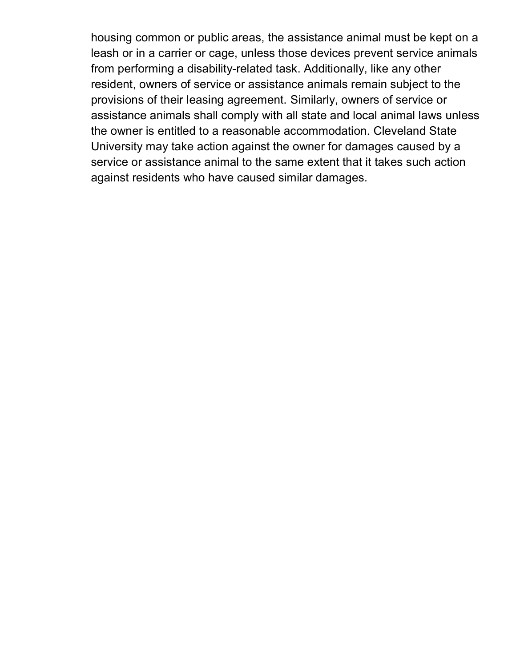leash or in a carrier or cage, unless those devices prevent service animals assistance animals shall comply with all state and local animal laws unless University may take action against the owner for damages caused by a against residents who have caused similar damages. housing common or public areas, the assistance animal must be kept on a from performing a disability-related task. Additionally, like any other resident, owners of service or assistance animals remain subject to the provisions of their leasing agreement. Similarly, owners of service or the owner is entitled to a reasonable accommodation. Cleveland State service or assistance animal to the same extent that it takes such action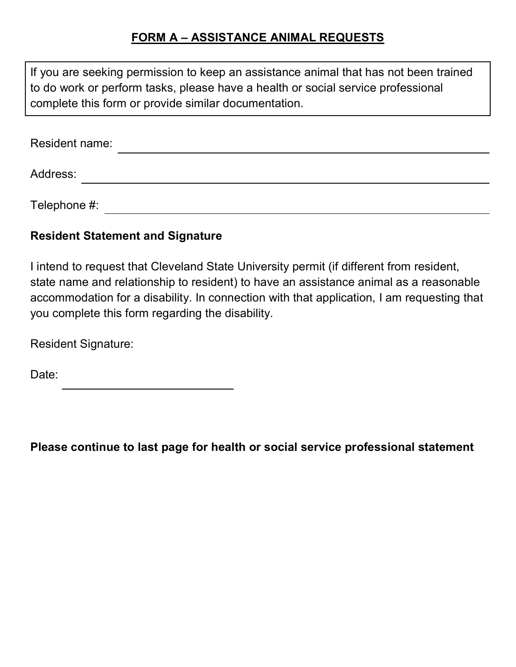#### **FORM A – ASSISTANCE ANIMAL REQUESTS**

| If you are seeking permission to keep an assistance animal that has not been trained<br>to do work or perform tasks, please have a health or social service professional<br>complete this form or provide similar documentation. |  |
|----------------------------------------------------------------------------------------------------------------------------------------------------------------------------------------------------------------------------------|--|
| <b>Resident name:</b>                                                                                                                                                                                                            |  |
| Address:                                                                                                                                                                                                                         |  |
| Telephone #:                                                                                                                                                                                                                     |  |

#### **Resident Statement and Signature**

I intend to request that Cleveland State University permit (if different from resident, state name and relationship to resident) to have an assistance animal as a reasonable accommodation for a disability. In connection with that application, I am requesting that you complete this form regarding the disability.

Resident Signature:

Date:

 **Please continue to last page for health or social service professional statement**